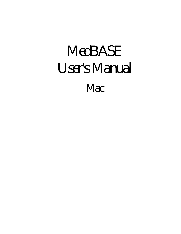# *MedBASE User's Manual Mac*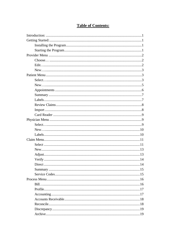# **Table of Contents:**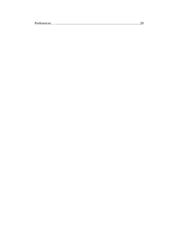|--|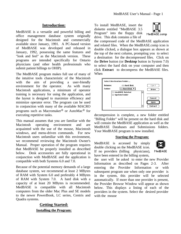### **Introduction:**

MedBASE is a versatile and powerful billing and office management database system originally designed for the Macintosh and commercially available since January, 1991. A PC-based version of MedBASE was developed and released in January, 1992, possessing the same features and "look and feel" as the Macintosh version. These programs are intended specifically for Ontario physicians (and other health professionals who submit patient billings to OHIP).

The MedBASE program makes full use of many of the intuitive tools characteristic of the Macintosh with the aim of providing a user-friendly environment for the operator. As with many Macintosh applications, a minimum of operator training is necessary for using the application, and the layout is designed to maximize efficiency and minimize operator error. The program can be used in conjunction with many of the available MACRO programs such as Macromaker® or AutoMac® for executing repetitive tasks.

This manual assumes that you are familiar with the Macintosh operating environment and are acquainted with the use of the mouse, Macintosh windows, and menu-driven commands. For new Macintosh users unfamiliar with this environment, we recommend reviewing the Macintosh Owner's Manual. Proper operation of the program requires that MedBASE be properly installed as described below. Desk accessories are fully operational in conjunction with MedBASE and the application is compatible with both Systems 6.0 and 7.0.

Because of the potential memory demands of a large database system, we recommend at least 2 MBytes of RAM with System 6.0 and preferably 4 MBytes of RAM with System 7.0. A hard disk with a capacity of at least 20 MBytes is recommended. MedBASE is compatible with all Macintosh computers from the older Mac Plus and SE models to the newer PowerBook, LC series, Centris and Quadra systems.

## **Getting Started: Installing the Program:**

To install MedBASE, insert the diskette entitled "MedBASE 3.5 Program" into the floppy disk drive. This disk contains a file of



the compressed code of the MedBASE application and related files. When the MedBASE.comp icon is double clicked, a dialogue box appears as shown at the top of the next column, prompting you to select a destination for the decompressed files. Click on the **Drive** button (or **Desktop** button in System 7.0) to select the hard disk on your computer and then click **Extract** to decompress the MedBASE files. When

| <b>Volume:</b> | ⇔ Hard Disk                                                        | {}⊗∢१          |
|----------------|--------------------------------------------------------------------|----------------|
| Folder:        | $\qquad \qquad \Longleftrightarrow$ Hard Disk $\blacktriangledown$ | Drive          |
|                | $\Box$ MedBASE Related                                             |                |
|                | ∩ System Folder                                                    |                |
|                |                                                                    | Cancel         |
|                |                                                                    | <b>Open</b>    |
|                |                                                                    | Extract<br>ĻT, |

decompression is complete, a new folder entitled "Billing Folder" will be present on the hard disk and will contain the MedBASE application as well as the MedBASE Databases and Submissions folders. Your MedBASE program is now installed.

#### **Starting the Program:**

MedBASE is accessed by simply double clicking on the MedBASE icon. If no providers (billing physicians), have been entered in the billing system,



MedBASE

the user will be asked to enter the new Provider Information as described on Pages 2-3. After entering the Provider Information or with subsequent program use when only one provider is in the system, this provider will be selected automatically. If more than one provider is present, the Provider Browse Window will appear as shown below. This displays a listing of each of the providers in the system. Select the desired provider with the mouse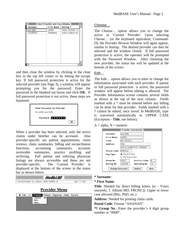| Select Provider and Close Window $\equiv$ |                   |                   |  |  |
|-------------------------------------------|-------------------|-------------------|--|--|
| Surname                                   | <b>First Name</b> | Billing $\bullet$ |  |  |
| ALLISON                                   | JAMES             | 0000-100008-13    |  |  |
| LAWRENCE                                  | TERRANCE          | 0000-224840-60    |  |  |
|                                           |                   |                   |  |  |
|                                           |                   |                   |  |  |
|                                           |                   |                   |  |  |
|                                           |                   |                   |  |  |
|                                           |                   |                   |  |  |
|                                           |                   |                   |  |  |
|                                           |                   |                   |  |  |
|                                           |                   |                   |  |  |
|                                           |                   |                   |  |  |
|                                           |                   |                   |  |  |
|                                           |                   |                   |  |  |

and then close the window by clicking in the close box in the top left corner or by hitting the escape key. If full password protection is active for the selected provider (see Page 3), a window will appear prompting you for the password. Enter the password in the blanked out boxes and click **OK**. If full password protection is not active, these steps are bypassed.



When a provider has been selected, only the active claims under him/her can be accessed. Also provider-specific are patient appointments, claim reviews, claim summaries, billing and reconciliation functions, accounting summaries, accounts receivable summaries, practice profiling and archiving. Full patient and referring physician listings are always accessible and these are not provider-specific. The 'Current Provider' is displayed at the bottom of the screen in the status bar as shown below.

| 15E                                               |               |
|---------------------------------------------------|---------------|
| Current Provider: Dr. J. Allison - 0000-100008-13 | April 7, 1992 |

# **Provider Menu**

| _______________<br>жD<br>Choose | <b>6 File (8) Provider Patient Physician Claim Process</b> |  |  |
|---------------------------------|------------------------------------------------------------|--|--|
| Edit<br>Neu                     |                                                            |  |  |

#### Choose…

The Choose… option allows you to change the active or 'Current Provider'. Upon selecting Choose… (or the keyboard equivalent, Command-D), the Provider Browse Window will again appear, similar to Startup. The desired provider can then be selected and the window closed. If full password protection is active, the operator will be prompted with the Password Window. After choosing the new provider, the status bar will be updated at the bottom of the screen.

#### Edit…

The Edit… option allows you to enter or change the information associated with each provider. If partial or full password protection is active, the password window will appear before editing is allowed. The Provider Information screen contains several fields as shown at the top of the next column. Fields marked with a \* must be entered before any billing can be done for that provider. Fields marked with a † cannot be edited, once saved. In MedBASE, type is converted automatically to UPPER CASE (Exception - **Title**, see below).



|                                          | Provider Information $\equiv$        |  |  |  |
|------------------------------------------|--------------------------------------|--|--|--|
| Surname:                                 | <b>ALLISON</b>                       |  |  |  |
| First Name:                              | JAMES                                |  |  |  |
| Title:                                   | MD, FRCP(C)                          |  |  |  |
| Address:                                 | TGH                                  |  |  |  |
|                                          | 200 ELIZABETH ST, TORONTO            |  |  |  |
| Postal Code:                             | M562C4                               |  |  |  |
| Pay Type:                                | ◉ Pay Provider                       |  |  |  |
|                                          | ◯ Pay Subscriber                     |  |  |  |
| Group No:                                | 10000<br><b>District Code:</b><br>IN |  |  |  |
| <b>Billing No:</b>                       | 100008<br>113<br>Specialty No:       |  |  |  |
| Delete<br><b>Change Password</b><br>Done |                                      |  |  |  |

#### **\* Surname**:

#### **\* First Name**:

**Title**: Needed for direct billing letters (ie - Yours sincerely, J. Allison MD, FRCP(C)). Upper or lower case allowed (BSc, PhD, etc.)

**Address**: Needed for printing claim cards.

**Postal Code**: Format "ANANAN".

**\*† Group No**.: Enter the provider's 4 digit group number or "0000".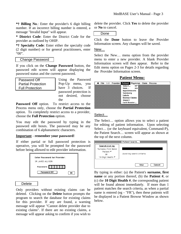**\*† Billing No**.: Enter the provider's 6 digit billing number. If an incorrect billing number is entered, a message "Invalid Input" will appear.

**\* District Code**: Enter the District Code for the provider as outlined by OHIP.

**\*† Specialty Code**: Enter either the specialty code (2 digit number) or for general practitioners, enter "00".

#### Change Password

If you click on the **Change Password** button, the password edit screen will appear displaying the password status and the current password.

| Password Off              |
|---------------------------|
| <b>Partial Protection</b> |
| <b>Full Protection</b>    |

Using the Password Pop-Up menu, you have 3 choices. If password protection is not desired, choose the

Password Off option. To restrict access to the Process menu only, choose the **Partial Protection** option. To completely restrict access to a provider, choose the **Full Protection** option.

You may edit the password by typing in the password edit boxes. The password may be any combination of 6 alphanumeric characters.

#### **Important** - **remember your password!**

If either partial or full password protection is operative, you will be prompted for the password before being allowed to edit provider information.



#### Delete

Only providers without existing claims can be deleted. Clicking on the **Delete** button prompts the program to search the database for existing claims for this provider. If any are found, a warning message will appear "Cannot delete provider due to existing claims". If there are no existing claims, a message will appear asking to confirm if you wish to

delete the provider. Click **Yes** to delete the provider or **No** to cancel.

Done

Click the **Done** button to leave the Provider Information screen. Any changes will be saved.

#### New…

Select the New… menu option from the provider menu to enter a new provider. A blank Provider Information screen will then appear. Refer to the Edit menu option on Pages 2-3 for details regarding the Provider Information screen.

### **Patient Menu:**

| <b>C</b> File (dif Provider Patient Physician Claim Process |                      |  |
|-------------------------------------------------------------|----------------------|--|
|                                                             | жP<br>Select         |  |
|                                                             | жR<br>New            |  |
|                                                             | <b>Appointments</b>  |  |
|                                                             | Summary              |  |
|                                                             | Labels               |  |
|                                                             | <b>Review Claims</b> |  |
|                                                             | Import               |  |
|                                                             | Card Reader          |  |
|                                                             |                      |  |

### Select…

The Select… option allows you to select a patient for editing of patient information. Upon selecting Select… (or the keyboard equivalent, Command-P), the Patient Search… screen will appear as shown at the top of the next column.

| <b>Search List by:</b><br>'Surname, First Name'<br>'Patient *'<br>ΟR<br>'10 Digit Health *' | Patient Search<br>Awaiting search criteria. |
|---------------------------------------------------------------------------------------------|---------------------------------------------|
|                                                                                             | Cancel<br>New                               |

By typing in either: (a) the Patient's **surname, first name** or any portion thereof, (b) the **Patient #**, or (c) the **10 Digit Health #**, the corresponding patient will be found almost immediately. If more than 1 patient matches the search criteria, as when a partial name is entered (eg - "FR"), then these patients will be displayed in a Patient Browse Window as shown below.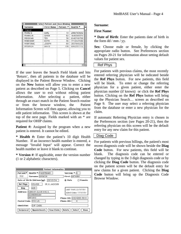| Select Patient and Close Window |                   |             |            |  |
|---------------------------------|-------------------|-------------|------------|--|
| Surname                         | <b>First Name</b> | ∣ Patient * | $Health =$ |  |
| Cancel                          |                   |             |            |  |
| <b>FRANCIS</b>                  | CARL              | 10          | 2986763692 |  |
| FRANKLIN                        | i simon           | 82          | 1645369370 |  |
| FREIDMAN                        | <b>TFD</b>        | 38          | 6045706758 |  |
| <b>FROBISHER</b>                | <b>EDITH</b>      | 36.         | 7712047096 |  |
| FRONTENAC                       | <b>JOSEPH</b>     | 69          | 2837690235 |  |
| FRYDRYCH                        | DAVID             | 138.        | 6902357712 |  |
|                                 |                   |             |            |  |
|                                 |                   |             |            |  |
|                                 |                   |             |            |  |
|                                 |                   |             |            |  |
|                                 |                   |             |            |  |
|                                 |                   |             |            |  |
|                                 |                   |             |            |  |

If the user leaves the Search Field blank and hits 'Return', then all patients in the database will be displayed in the Patient Browse Window. Clicking on the **New** button will allow you to enter a new patient as described on Page 5. Clicking on **Cancel** allows the user to exit without editing patient information. After selecting a patient, either through an exact match in the Patient Search routine or from the browse window, the Patient Information Screen will then appear, allowing you to edit patient information. This screen is shown at the top of the next page. Fields marked with an \* are required for OHIP claims.

**Patient #:** Assigned by the program when a new patient is entered. It cannot be edited.

**\* Health #:** Enter the patient's 10 digit Health Number. If an incorrect health number is entered, a message "Invalid Input" will appear. Correct the health number or leave it blank to continue.

**\* Version #**: If applicable, enter the version number (1 or 2 alphabetic characters).

|                 | Patient Information <b>EDU</b>                       |                                       |
|-----------------|------------------------------------------------------|---------------------------------------|
| Patient*<br>322 | Health <sup>*</sup> : 7428758481<br>Surname: SPENCER | Version $\cdot$ : 0<br>First: ANTHONY |
|                 | Date of Birth (dd/mm/yy): $ 25/03/34$                | ⊛ Male<br>$\cap$ Female               |
| <b>Ref Phys</b> | 052458<br>DR. H. JACKSON                             |                                       |
| Diag            | 428                                                  | Last Visit: 21/07/91                  |
|                 | Address: 3285 ST. CLAIR AVE. E.                      | Admit Date: 17/07/91                  |
|                 | SCARBOROUGH                                          |                                       |
|                 | ONTARIO                                              | Phone (H): 416 265-3610               |
|                 | Postal Code: MIK1L5                                  | Phone (B):                            |
| ldentifier:     | CHF CABG                                             |                                       |
| Reciprocal      | New Claim<br><b>Appointments</b>                     | Delete<br>Select<br>Done              |

#### **Surname**:

#### **First Name**:

**\* Date of Birth**: Enter the patients date of birth in the form dd / mm / yy.

**Sex**: Choose male or female, by clicking the appropriate radio button. See Preferences section on Pages 20-21 for information about setting default values for patient sex.

#### Ref Phys

For patients with previous claims, the most recently entered referring physician will be indicated beside the **Ref Phys** button. For new patients, this field will be blank. To enter or change the referring physician for a given patient, either enter the physician number (if known) or click the **Ref Phys** button. Clicking on the **Ref Phys** button will bring up the Physician Search… screen as described on Page 9. The user may select a referring physician from the database or enter a new physician for the claim.

If automatic Referring Physician entry is chosen in the Preferences section (see Pages 20-21), then the referring physician on this screen will be the default entry for any new claim for this patient.

#### Diag Code

For patients with previous billings, the patient's most recent diagnosis code will be shown beside the **Diag Code** button. For new patients, this field will be blank. The diagnosis code can be entered or changed by typing in the 3 digit diagnosis code or by clicking the **Diag Code** button. The diagnosis code on the patient screen will be the default entry for new claims for a given patient. Clicking the **Diag Code** button will bring up the Diagnosis Code Browse Window.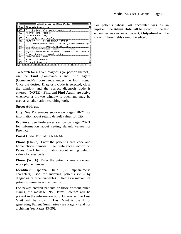|      | Select Diagnosis and Close Window ≣                                   |  |
|------|-----------------------------------------------------------------------|--|
| Code | <b>Diagnosis Description</b>                                          |  |
| 428  | Congestive heart failure, acute pulmonary edema                       |  |
| 429  | All other forms of heart disease                                      |  |
| 432  | Intracranial hemorrhage                                               |  |
| 435  | Transient ischemic attack (TIA)                                       |  |
| 436  | Acute cerebrovascular accident (CVA, stroke)                          |  |
| 437  | Chronic cerebrovascular disease (old CVA), hypertensive encephalopa   |  |
| 440  | Generalized arteriosclerosis, atherosclerosis                         |  |
| 441  | Aortic aneurysm (thoracic or abdominal, non-syphilitic)               |  |
| 443  | Raynaud's disease, Buerger's disease, peripheral vascular disease, in |  |
| 446  | Polyarteritis nodosa, temporal arteritis                              |  |
| 447  | Other disorders of arteries                                           |  |
| 451  | Phlebitis, thrombophlebitis                                           |  |
| 452  | Portal vein thrombosis                                                |  |
|      |                                                                       |  |

To search for a given diagnosis (or portion thereof), use the **Find** (Command-F) and **Find Again** (Command-G) commands under the **Edit** menu. Once the desired Diagnosis Code is selected, close the window and the correct diagnosis code is entered. (**NOTE** - **Find** and **Find Again** are active whenever a browse window is open and may be used as an alternative searching tool).

#### **Street Address**:

**City**: See Preferences section on Pages 20-21 for information about setting default values for City.

**Province**: See Preferences section on Pages 20-21 for information about setting default values for Province.

**Postal Code**: Format "ANANAN".

**Phone (Home)**: Enter the patient's area code and home phone number. See Preferences section on Pages 20-21 for information about setting default values for area code.

**Phone (Work)**: Enter the patient's area code and work phone number.

**Identifier**: Optional field (60 alphanumeric characters) used for indexing patients (ie - by diagnosis or other variable). Used as a marker for patient summaries and archiving.

For newly entered patients or those without billed claims, the message 'No Claims Entered' will be present in the information box. Otherwise, the **Last Visit** will be shown. **Last Visit** is useful for generating Patient Summaries (see Page 7) and for archiving (see Pages 19-20).

For patients whose last encounter was as an inpatient, the **Admit Date** will be shown. If the last encounter was as an outpatient, **Outpatient** will be shown. These fields cannot be edited.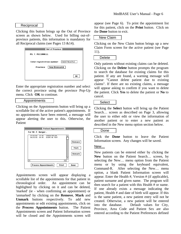#### Reciprocal

Clicking this button brings up the Out of Province screen as shown below. Used for billing out-ofprovince patients, this information is mandatory for all Reciprocal claims (see Pages 13 &14).

| $\equiv$ Out of Province $\equiv$       |
|-----------------------------------------|
| MS. T. MCCONNELL                        |
| Enter registration number:  34687964354 |
| New Brunswick  <br>Province:            |
|                                         |
| 0K                                      |

Enter the appropriate registration number and select the correct province using the province Pop-Up menu. Click **OK** to continue.

#### Appointments

Clicking on the Appointments button will bring up a scrollable list of the active patient's appointments. If no appointments have been entered, a message will appear alerting the user to this. Otherwise, the Patient



Appointments screen will appear displaying a scrollable list of the appointments for that patient in chronological order. An appointment can be highlighted by clicking on it and can be deleted, 'marked' (ie - when confirming an appointment) or 'unmarked' by clicking on the **Remove**, **Mark** and **Unmark** buttons respectively. To add new appointments or edit existing appointments, click on the **Process Appointments** button. The Patient Appointments screen and Patient Information screen will be closed and the Appointments screen will

appear (see Page 6). To print the appointment list for this patient, click on the **Print** button. Click on the **Done** button to exit.

#### New Claim

Clicking on the New Claim button brings up a new Claim Form screen for the active patient (see Page 11).

#### **Delete**

Only patients without existing claims can be deleted. Clicking on the **Delete** button prompts the program to search the database for existing claims for this patient. If any are found, a warning message will appear "Cannot delete patient due to existing claims". If there are no existing claims, a message will appear asking to confirm if you want to delete the patient. Click **Yes** to delete the patient or **No** to cancel.

#### **Select**

Clicking the **Select** button will bring up the Patient Search… screen as described on Page 3, allowing the user to either edit or view the information of another patient or to enter a new patient as described in the New menu option section below.

#### Done

Click the **Done** button to leave the Patient Information screen. Any changes will be saved.

#### New…

New patients can be entered either by clicking the **New** button on the Patient Search… screen, by selecting the New… menu option from the Patient menu or by using the keyboard equivalent, Command-R. After selecting the New… menu option, a blank Patient Information screen will appear. Enter the Health #, Version # (if applicable), patient surname and given name. The program will then search for a patient with this Health # or name. If one already exists a message indicating the patient, Health # and date of birth will appear. If this is the same patient, a new patient entry will not be created. Otherwise, a new patient will be entered into the database. Default values for City, Province, Area Code and Patient Sex are also entered according to the Patient Preferences defined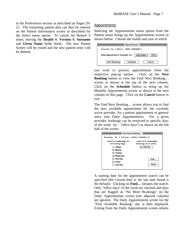in the Preferences section as described on Pages 20- 21. The remaining patient data can then be entered on the Patient Information screen as described for the Select menu option. To cancel, hit 'Return' 4 times, leaving the **Health #**, **Version #**, **Surname** and **Given Name** fields blank. The new Patient Screen will be exited and the new patient entry will be deleted.

#### Appointments

Selecting the Appointments menu option from the Patient menu brings up the Appointments screen as shown below. Choose the month and year in which

| $\equiv$ Appointments $\equiv$                             |  |  |  |  |
|------------------------------------------------------------|--|--|--|--|
| Provider: Dr. J. Allison - 0000-100008013                  |  |  |  |  |
| September<br><b>View Appointment Schedule for:</b><br>1992 |  |  |  |  |
| <b>Next Booking</b><br>Schedule<br>Cancel                  |  |  |  |  |

you wish to process appointments from the respective pop-up menus. Click on the **Next Booking** button to view the Find Next Booking… screen as shown at the top of the next column. Click on the **Schedule** button to bring up the Monthly Appointments screen as shown in the next column on this page. Click on the **Cancel** button to exit.

The Find Next Booking… screen allows you to find the next available appointment for the currently active provider, for a patient appointment or general entry (see Daily Appointments). For a given provider, bookings can be restricted to specific days of the week (ie - "office days") as shown on the left half of the screen.

|                                               | Find Next Booking $\equiv$                         |  |  |  |  |
|-----------------------------------------------|----------------------------------------------------|--|--|--|--|
| Provider: Dr. J. Allison - 0000-100008-13     |                                                    |  |  |  |  |
| <b>Restrict bookings to</b><br>following days | <b>Find First Available</b><br>Booking on or after |  |  |  |  |
| Sunday                                        | 27/09/92                                           |  |  |  |  |
| ⊠ Mondav                                      |                                                    |  |  |  |  |
| $\boxtimes$ Tuesday                           |                                                    |  |  |  |  |
| ⊠ Wednesdav                                   |                                                    |  |  |  |  |
| ⊠ Thursdav                                    | Find                                               |  |  |  |  |
| ⊠ Fridav                                      |                                                    |  |  |  |  |
| Saturday                                      | Done                                               |  |  |  |  |
|                                               |                                                    |  |  |  |  |

A starting date for the appointment search can be specified (the current date or the last date found is the default). Clicking on **Find…** initiates the search. Only "office days" of the week are checked and days that are flagged as "No More Bookings" on the Daily Appointments screen (see adjacent column) are ignored. The Daily Appointments screen for the "First Available Booking" day is then displayed. Exiting from the Daily Appointments screen returns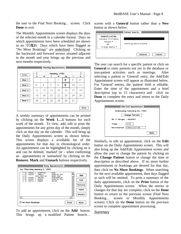the user to the Find Next Booking… screen. Click **Done** to exit.

The Monthly Appointments screen displays the days of the selected month in a calender format. Days on which appointments have been scheduled are shown as an RXMDH Days which have been flagged as "No More Bookings" are underlined. Clicking on the backward and forward arrows situated adjacent to the month and year brings up the previous and next months respectively.

|        |    |                    |    | Monthly Appointments $\equiv$ |    |    |      |  |
|--------|----|--------------------|----|-------------------------------|----|----|------|--|
| Print  |    | January, 1992<br>D |    |                               |    |    |      |  |
|        | s  | м                  | т  | w                             | Τh | F  | s    |  |
| Week 1 |    |                    |    |                               | 2  | 3  | 4    |  |
| Week 2 | 5  | 6                  | 7  | 8                             | Ø  | 10 | 11   |  |
| Week 3 | 12 | 13                 | 14 | 15                            | 16 | 17 | 18   |  |
| Week 4 | 19 | 20                 | 21 | 22                            | 23 | 24 | 25   |  |
| Week 5 | 26 | 27                 | 28 | 29                            | 30 | 31 |      |  |
|        |    |                    |    |                               |    |    | Done |  |

A weekly summary of appointments can be printed by clicking on the **Week 1…5** buttons for each week of the month. To view, add, edit or print the appointments for any given day of the month, simply click on that day on the calender. This will bring up the Daily Appointments screen as shown below. This screen displays a scrollable list of the appointments for that day in chronological order. An appointment can be highlighted by clicking on it and can be deleted, 'marked' (ie - when confirming an appointment) or 'unmarked' by clicking on the **Remove**, **Mark** and **Unmark** buttons respectively.

|                                                      |                  |                                                                                                          | Daily Appointments $\equiv$                                                                                     |       |                                         |
|------------------------------------------------------|------------------|----------------------------------------------------------------------------------------------------------|-----------------------------------------------------------------------------------------------------------------|-------|-----------------------------------------|
|                                                      |                  | For Thursday January 9, 1992                                                                             |                                                                                                                 |       |                                         |
| 11:00<br>11:20<br>12:00<br>13:00<br>13:40<br>14 : 10 | 000006<br>000235 | S. ALBERTSON<br>L. FARELLI<br>LUNCH MEETING<br>000095 J. CARLSON<br>000357 F. NEWTON<br>000119 H. HUBERT | ECH <sub>0</sub><br><b>EXERCISE TEST</b><br>BOARD ROOM<br>ECHO/DOPPLER<br><b>EXERCISE TEST</b><br><b>HOLTER</b> |       | Add<br>Edit<br>Remove<br>Mark<br>Unmark |
| ⇦                                                    |                  |                                                                                                          |                                                                                                                 | Ę,    |                                         |
| $\boxtimes$ No More Bookings                         |                  |                                                                                                          |                                                                                                                 | Print | Done                                    |

To add an appointment, click on the **Add** button. This brings up a modified Patient Search…

screen with a **General** button rather than a **New** button as shown below.

|                                                                                      | Patient Search            |
|--------------------------------------------------------------------------------------|---------------------------|
| Search List by:<br>'Surname, First Name'<br>"Patient *"<br>OR<br>'10 Digit Health *' | Awaiting search criteria. |
|                                                                                      | General<br>Cancel         |

The user can search for a specific patient or click on **General** to enter patients not yet in the database or non-patient activities such as meetings. After selecting a patient or 'General' entry, the Add/Edit Appointment screen will appear as illustrated below. For 'General' entries, the 'patient' field is editable. Enter the time of the appointment and a brief description (up to 15 characters) and click on **Done** to complete the entry and return to the Daily Appointments screen.



Similarly, to edit an appointment, click on the **Edit** button on the Daily Appointments screen. This will also bring up the Add/Edit Appointment screen and allow the user to change the patient by clicking on the **Change Patient** button or change the time or description as described above. If no more further appointments or bookings are desired for that day, then click on **No More Bookings**. When searching for the next available appointment, then days flagged as such will be omitted. To print a summary of the daily appointments, click on the **Print** button of the Daily Appointments screen. When the entries or changes for that day are complete, click on the **Done** button to return to the previous screen (Find Next Booking… screen or Monthly Appointments screen). Click on the **Done** button on the previous screen to complete appointment processing.

#### Summary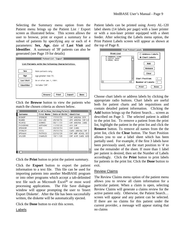Selecting the Summary menu option from the Patient menu brings up the Patient List / Export screen as illustrated below. This screen allows the user to browse, print or export a summary for a subset of patients by specifying any or each of 4 parameters: **Sex**, **Age**, date of **Last Visit** and **Identifier**. A summary of 'J8' patients can also be generated (see Page 19 for details)

|                                                | Patient List / Export $\equiv$                           |  |  |  |  |  |  |
|------------------------------------------------|----------------------------------------------------------|--|--|--|--|--|--|
|                                                | <u>List Patients with the Following Characteristics:</u> |  |  |  |  |  |  |
| Sex                                            | Male patients only.                                      |  |  |  |  |  |  |
| Age                                            | Age greater than 70.                                     |  |  |  |  |  |  |
| <b>Last Visit</b><br>On or after Jan. 1, 1991. |                                                          |  |  |  |  |  |  |
| Identifier                                     | Includes 'CHE'.                                          |  |  |  |  |  |  |
|                                                | Print<br><b>Export</b><br><b>Browse</b><br>Done          |  |  |  |  |  |  |

Click the **Browse** button to view the patients who match the chosen criteria as shown below.

|                |                   | Scroll to View Matching Patients $\equiv$ |                              |  |
|----------------|-------------------|-------------------------------------------|------------------------------|--|
| Surname        | <b>First Name</b> | Date of Birth   Identifier                |                              |  |
| <b>BISHOP</b>  | SPENCER           | 17/03/30                                  | CHF.<br><b>DCM</b><br>ANGINA |  |
| HUANG          | KAI-LEE           | 25/08/36                                  | AMI ANGINA                   |  |
| MCAFEE         | DENNIS            | 06/11/30                                  | CHF ANGINA                   |  |
| PICKERING      | ANTHONY           | 11/05/28                                  | AMI CHE                      |  |
| <b>SPENCER</b> | RNY               | 09/09/34                                  | CHF CABG                     |  |
| STONLEY        | CECIL.            | 25/03/34                                  | CABG ANGINA                  |  |
| UPSHAW         | PATRICK           | 22/02/28                                  | CHF HBP<br>HCHOL             |  |
| WII SON        | CHARLES           | 19/11/28                                  | CHE AVR                      |  |
|                |                   |                                           |                              |  |
|                |                   |                                           |                              |  |
|                |                   |                                           |                              |  |
|                |                   |                                           |                              |  |
|                |                   |                                           |                              |  |
|                |                   |                                           |                              |  |

Click the **Print** button to print the patient summary.

Click the **Export** button to export the patient information to a text file. This file can be used for importing patients into another MedBASE program or into other programs which accept a tab-delimited text file such as Microsoft Excel® or most word processing applications. The File Save dialogue window will appear prompting the user to 'Insert Export Diskette'. After the file has been successfully written, the diskette will be automatically ejected.

Click the **Done** button to exit this screen.

Labels

Patient labels can be printed using Avery AL-120 label sheets (14 labels per page) with a laser printer or with a non-laser printer equipped with a sheet feeder. After selecting the Labels menu option, the Print Patient Labels screen will appear as shown at the top of Page 8.

|                                        | <b>Print Patient Labels</b> |
|----------------------------------------|-----------------------------|
| <b>Print List</b>                      | $\bigcirc$ Address Labels   |
| 83 ANDERSON, DIANE<br>91 AUSTIN, FRANK | Chart Labels                |
| 74 BROWN, DAVID                        | Add                         |
|                                        | Remove                      |
|                                        | Clear                       |
|                                        | <b>Start Position:</b>      |
|                                        | Number of Labels:   1       |
|                                        | Print<br>Done               |

Choose chart labels or address labels by clicking the appropriate radio buttons. Chart labels are useful both for patient charts and lab requisitions and contain detailed patient information. Clicking the **Add** button brings up the Patient Search… screen as described on Page 3. The selected patient is added to the print list. To remove a patient from the print list, highlight the patient in the print list and click the **Remove** button. To remove all names from the the print list, click the **Clear** button. The Start Position allows you to use a label sheet which has been partially used. For example, if the first 3 labels have been previously used, set the start position to '4' to use the remainder of the sheet. If more than 1 label per patient is desired, then set the Number of Labels accordingly. Click the **Print** button to print labels for patients in the print list. Click the **Done** button to exit.

#### Review Claims

The Review Claims menu option of the patient menu allows you to review all claim information for a particular patient. When a claim is open, selecting Review Claims will generate a claims review for the active patient only. Otherwise, the Patient Search… screen will appear and any patient can be selected. If there are no claims for this patient under the current provider, a message will appear stating that no claims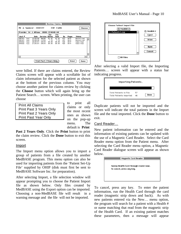| Review Claims $\equiv$<br>CHF CABG<br>Mr. A. Spencer - 000322<br>Choose |                                  |                                              |                                         |                                 |                                 |                          |                              |                                                    |   |
|-------------------------------------------------------------------------|----------------------------------|----------------------------------------------|-----------------------------------------|---------------------------------|---------------------------------|--------------------------|------------------------------|----------------------------------------------------|---|
|                                                                         |                                  | Provider: Dr. J. Allison - 0000-224840-60    |                                         |                                 |                                 |                          |                              |                                                    |   |
| $Acct =$                                                                |                                  | Date                                         | Service                                 | <b>Fee</b><br><b>Billed</b>     | Fee<br>Paid                     | Dx.                      | Payee                        | <b>Status</b>                                      |   |
| 000167<br>000167<br>004292<br>004292                                    | inpt.<br>Inpt.<br>Inpt.<br>Inpt. | 23/03/90<br>23/03/90<br>20/07/91<br>21/07/91 | <b>A603R</b><br>C101A<br>G401A<br>G401A | 52.40<br>7.70<br>95.85<br>95.85 | 52.40<br>7.70<br>95.85<br>95.85 | 427<br>427<br>428<br>428 | OHIP<br>OHIP<br>OHIP<br>OHIP | Reconciled<br>Reconciled<br>Submitted<br>Submitted | ↶ |
| ⇦                                                                       |                                  |                                              |                                         |                                 |                                 |                          |                              | ⇨                                                  | ᢒ |
|                                                                         |                                  |                                              | Print Past 2 Years Only                 |                                 |                                 |                          | Print                        | Done                                               |   |

were billed. If there are claims entered, the Review Claims screen will appear with a scrollable list of claim information for the selected patient as shown at the bottom of the previous column. You may choose another patient for claims review by clicking the **Choose** button which will again bring up the Patient Search… screen. When printing, the user can choose

Print All Claims Print Past 3 Years Only Print Past 2 Years Only Print Past Year Only

to print all claims or only the most recent ones as shown on the pop-up menu. The default is **Print**

**Past 2 Years Only**. Click the **Print** button to print the claim review. Click the **Done** button to exit this screen.

#### Import

The Import menu option allows you to import a group of patients from a file created by another MedBASE program. This menu option can also be used for importing patients from the 'Patient Set-Up File' supplied by OHIP (disk must first be sent to MedBASE Software Inc. for preparation).

After selecting Import, a file selection window will appear prompting you to choose the Patient Import file as shown below. Only files created by MedBASE using the Export option can be imported. Choosing a non-MedBASE file will result in a warning message and the file will not be imported.

| <b>Choose Patient Import File</b> | 图 MedBill 2           |
|-----------------------------------|-----------------------|
| $[3]$ MedBill 2                   | Eject                 |
| Patients1.enp                     | Drive                 |
| <b>All Files</b>                  | <b>Open</b><br>Cancel |

After selecting a valid Import file, the Importing Patients… screen will appear with a status bar indicating progress.

| Importing Patients                                  |          |      |
|-----------------------------------------------------|----------|------|
| Total Patients In File:<br>Total Patients Imported: | 57<br>46 | Done |

Duplicate patients will not be imported and the screen will indicate the total patients in the Import file and the total imported. Click the **Done** button to exit.

#### Card Reader…

New patient information can be entered and the information of existing patients can be updated with the use of a Magnetic Card Reader. Select the Card Reader menu option from the Patient menu. After selecting the Card Reader menu option, a Magnetic Card Reader dialogue screen will appear as shown below.



To cancel, press any key. To enter the patient information, run the Health Card through the card reader (magnetic strip down and back). As with new patients entered via the New… menu option, the program will search for a patient with a Health # or name matching that read from the magnetic strip of the Health Card. If an existing patient matches these parameters, then a message will appear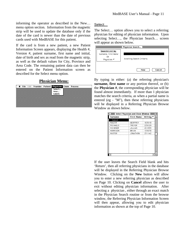informing the operator as described in the New… menu option section. Information from the magnetic strip will be used to update the database only if the date of the card is newer than the date of previous cards used with MedBASE for this patient.

If the card is from a new patient, a new Patient Information Screen appears, displaying the Health #, Version #, patient surname, first name and initial, date of birth and sex as read from the magnetic strip, as well as the default values for City, Province and Area Code. The remaining patient data can then be entered on the Patient Information screen as described for the Select menu option.

#### **Physician Menu:**

|  |  |                         | <b>Chain and Search Team of the Search State Search State Search State Search State State State Search State State</b> |
|--|--|-------------------------|------------------------------------------------------------------------------------------------------------------------|
|  |  | Select<br>New<br>Labels |                                                                                                                        |
|  |  |                         |                                                                                                                        |
|  |  |                         |                                                                                                                        |

#### Select…

The Select… option allows you to select a referring physician for editing of physician information. Upon selecting Select…, the Physician Search… screen will appear as shown below.

|                                                                        | Physician Search          |
|------------------------------------------------------------------------|---------------------------|
| <b>Search List by:</b><br>'Surname, First Name'<br>0R<br>'Physician *' | Awaiting Search Criteria. |
|                                                                        | Cancel<br>New             |

By typing in either: (a) the referring physician's **surname, first name** or any portion thereof, or (b) the **Physician #**, the corresponding physician will be found almost immediately. If more than 1 physician matches the search criteria, as when a partial name is entered (eg - "M"), then these referring physicians will be displayed in a Referring Physician Browse Window as shown below.

|          | Select Physician and Close Window $\equiv$ |                   |  |
|----------|--------------------------------------------|-------------------|--|
| Surname  | <b>First Name</b>                          | Billing $\bullet$ |  |
| Cancel   |                                            |                   |  |
| MALKIN   | GEOFFREY                                   | 163618            |  |
| MICHAELS | TREVOR                                     | 225029            |  |
| MICHENER | JILLIAN                                    | 201855            |  |
| MORRISON | BRIAN                                      | 133678            |  |
| MUSTER   | JONATHON                                   | 231142            |  |
|          |                                            |                   |  |
|          |                                            |                   |  |

If the user leaves the Search Field blank and hits 'Return', then all referring physicians in the database will be displayed in the Referring Physician Browse Window. Clicking on the **New** button will allow you to enter a new referring physician as described on Page 10. Clicking on **Cancel** allows the user to exit without editing physician information. After selecting a physician , either through an exact match in the Physician Search routine or from the browse window, the Referring Physician Information Screen will then appear, allowing you to edit physician information as shown at the top of Page 10.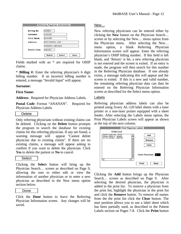|                    | Referring Physician Information <b>see</b> |  |  |  |
|--------------------|--------------------------------------------|--|--|--|
| <b>Billing No:</b> | 025991                                     |  |  |  |
| Surname:           | CARSON                                     |  |  |  |
| First Name:        | <b>EDWARD</b>                              |  |  |  |
| Address:           | 1825 COXWELL AVE.                          |  |  |  |
|                    | TORONTO, ONTARIO                           |  |  |  |
| Postal Code:       | M4C3E7                                     |  |  |  |
|                    | Delete<br>Select<br>Done                   |  |  |  |

Fields marked with an \* are required for OHIP claims.

\* **Billing #:** Enter the referring physician's 6 digit billing number. If an incorrect billing number is entered, a message "Invalid Input" will appear.

#### **Surname:**

#### **First Name:**

**Address**: Required for Physician Address Labels.

**Postal Code:** Format "ANANAN". Required for Physician Address Labels.

#### Delete

Only referring physicians without existing claims can be deleted. Clicking on the **Delete** button prompts the program to search the database for existing claims for this referring physician. If any are found, a warning message will appear "Cannot delete physician due to existing claims". If there are no existing claims, a message will appear asking to confirm if you want to delete the physician. Click **Yes** to delete the patient or **No** to cancel.

#### Select

Clicking the **Select** button will bring up the Physician Search… screen as described on Page 9, allowing the user to either edit or view the information of another physician or to enter a new physician as described in the New menu option section below.

#### Done

Click the **Done** button to leave the Referring Physician Information screen. Any changes will be saved.

#### New…

New referring physicians can be entered either by clicking the **New** button on the Physician Search… screen or by selecting the New… menu option from the Physician menu. After selecting the New… menu option, a blank Referring Physician Information screen will appear. Enter the referring physician's OHIP billing number. If this field is left blank, and 'Return' is hit, a new referring physician is not entered and the screen is exited. If an entry is made, the program will then search for this number in the Referring Physician database. If one already exists, a message indicating this will appear and the screen is exited. If this is a new and valid number, the remaining referring physician data can then be entered on the Referring Physician Information screen as described for the Select menu option.

#### Labels

Referring physician address labels can also be printed using Avery AL-120 label sheets with a laser printer or a non-laser printer equipped with a sheet feeder. After selecting the Labels menu option, the Print Physician Labels screen will appear as shown at the top of the next column.

| ≣                                                                           | Print Physician Labels =           |
|-----------------------------------------------------------------------------|------------------------------------|
| <b>Print List</b>                                                           |                                    |
| 288357 CHARLTON, PETER<br>028894 FRANCIS, EDWARD<br>231142 MUSTER, JONATHON | Add<br>Remove<br>Clear             |
|                                                                             | Start Position: 5<br>Print<br>Done |

Clicking the **Add** button brings up the Physician Search… screen as described on Page 9. After selecting the desired physician, the physician is added to the print list. To remove a physician from the print list, highlight the physician in the print list and click the **Remove** button. To remove all names from the the print list click the **Clear** button. The start position allows you to use a label sheet which has been partially used, as described in the Patient Labels section on Pages 7-8. Click the **Print** button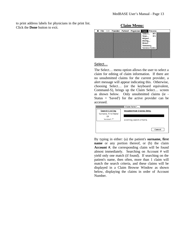to print address labels for physicians in the print list.



#### Select…

The Select… menu option allows the user to select a claim for editing of claim information. If there are no unsubmitted claims for the current provider, a alert message will appear indicating this. Otherwise, choosing Select… (or the keyboard equivalent, Command-S), brings up the Claim Select… screen as shown below. Only unsubmitted claims (ie - Status  $=$  'Saved') for the active provider can be accessed.

| Search List by:<br>'Surname, First Name' | Unsubmitted Claims Only:  |
|------------------------------------------|---------------------------|
| 0R<br>'Account *'                        | Awaiting search criteria. |
|                                          | Cancel                    |

By typing in either: (a) the patient's **surname, first name** or any portion thereof, or (b) the claim **Account #**, the corresponding claim will be found almost immediately. Searching on Account # will yield only one match (if found). If searching on the patient's name, then often, more than 1 claim will match the search criteria, and these claims will be displayed in a Claim Browse Window as shown below, displaying the claims in order of Account Number.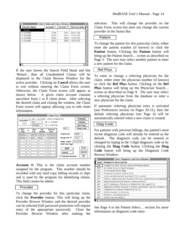|                     | Select Claim and Close Window |           |                 |  |
|---------------------|-------------------------------|-----------|-----------------|--|
| <b>Patient Name</b> | Account <sup>≠</sup>          | Patient * | Service Date    |  |
| Cancel              |                               |           |                 |  |
| M. ELMORE           | 6189                          | 3351      | 20/01/92        |  |
| M. ELMORE           | 6191                          |           | 3301 17/01/92   |  |
| M. ELMORE           | 6520                          | 3660      | 14/03/92        |  |
| M. ELMORE           | 6610                          |           | 3660   18/03/92 |  |
|                     |                               |           |                 |  |
|                     |                               |           |                 |  |
|                     |                               |           |                 |  |
|                     |                               |           |                 |  |
|                     |                               |           |                 |  |
|                     |                               |           |                 |  |
|                     |                               |           |                 |  |
|                     |                               |           |                 |  |
|                     |                               |           |                 |  |

If the user leaves the Search Field blank and hits 'Return', then all Unsubmitted Claims will be displayed in the Claim Browse Window for the active provider. Clicking on **Cancel** allows the user to exit without entering the Claim Form screen. Otherwise, the Claim Form screen will appear as shown below. A given claim account contains anywhere from 1 to 8 claim items. After selecting the desired claim and closing the window, the Claim Form screen will appear allowing you to edit claim information.

|                              |              | Claim Form                                                        |                             |                                        |
|------------------------------|--------------|-------------------------------------------------------------------|-----------------------------|----------------------------------------|
| Account <sup>≠</sup><br>7000 | 34<br>028428 | DR. J. ALLISON - 0000-224840-60<br>MR. W. BISHOP<br>DR. F. HORTON |                             | Provider<br>Patient<br><b>Ref Phus</b> |
| Bill<br>Code                 | Unit<br>Fee  | Service<br><b>Fee</b><br><b>Billed</b><br>Date                    | 428                         | <b>Diag Code</b>                       |
| A605A                        | 105.40       | 13/03/93<br>105.40                                                | Claim ID:                   | HOSP                                   |
| G313A                        | 8.80<br>8.80 | 13/03/93                                                          | Hospital $\bullet$ :        | 1302                                   |
|                              |              |                                                                   | Adm. Date<br>$(dd/mm/yy)$ : | 13/03/93                               |
|                              |              |                                                                   | OHIP                        | Print                                  |
|                              |              |                                                                   | Saved                       | Cancel                                 |
|                              |              |                                                                   | <b>Manual Review</b>        | 0K                                     |

**Account #:** This is the claim account number assigned by the program. This number should be recorded with any hard copy billing records or slips and is used by the program for identifying claims. This field cannot be edited.

#### Provider

To change the provider for this particular claim, click the **Provider** button. This will bring up the Provider Browse Window and the desired provider can be selected (full password protection will require entry of the appropriate password). Close the Provider Browse Window after making the

selection. This will change the provider on the Claim Form screen but does not change the current provider in the Status Bar.

#### **Patient**

To change the patient for this particular claim, either enter the patient number (if known) or click the **Patient** button. Clicking the **Patient** button will bring up the Patient Search… screen as described on Page 3. The user may select another patient or enter a new patient for the claim.

#### Ref Phys

To enter or change a referring physician for the claim, either enter the physician number (if known) or click the **Ref Phys** button. Clicking on the **Ref Phys** button will bring up the Physician Search… screen as described on Page 9. The user may select a referring physician from the database or enter a new physician for the claim.

If automatic referring physician entry is activated (see Preferences section on Pages 20-21), then the default referring physician (see Page 4) will be automatically entered when a new claim is created.

#### Diag Code

For patients with previous billings, the patient's most recent diagnosis code will already be entered as the default. The diagnosis code can be entered or changed by typing in the 3 digit diagnosis code or by clicking the **Diag Code** button. Clicking the **Diag Code** button will bring up the Diagnosis Code Browse Window.

|      | Select Diagnosis and Close Window                                     |  |
|------|-----------------------------------------------------------------------|--|
| Code | <b>Diagnosis Description</b>                                          |  |
| 428  | Congestive heart failure, acute pulmonary edema                       |  |
| 429  | All other forms of heart disease                                      |  |
| 432  | Intracranial hemorrhage                                               |  |
| 435  | Transient ischemic attack (TIA)                                       |  |
| 436  | Acute cerebrovascular accident (CVA, stroke)                          |  |
| 437  | Chronic cerebrovascular disease (old CVA), hypertensive encephalopa   |  |
| 440  | Generalized arteriosclerosis, atherosclerosis                         |  |
| 441  | Aortic aneurysm (thoracic or abdominal, non-syphilitic)               |  |
| 443  | Raynaud's disease, Buerger's disease, peripheral vascular disease, in |  |
| 446  | Polyarteritis nodosa, temporal arteritis                              |  |
| 447  | Other disorders of arteries                                           |  |
| 451  | Phlebitis, thrombophlebitis                                           |  |
| 452  | Portal vein thrombosis                                                |  |
|      |                                                                       |  |

See Page 4 in the Patient Select… section for more information on diagnosis code entry.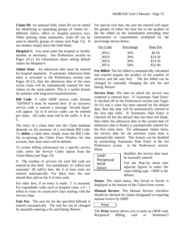**Claim ID:** An optional field, claim ID can be useful for identifying or separating groups of claims (ie different clinics, office vs. hospital practice, etc). When printing claim summaries, claim ID can be used to identify groups of claims (see Page 15). If not needed, simply leave the field blank.

**Hospital #:** You must enter the hospital or facility number as necessary. See Preferences section on Pages 20-21 for information about setting default values for Hospital #.

**Admit Date**: An admission date must be entered for hospital inpatients. If automatic Admission Date entry is activated in the Preferences section (see Pages 20-21), then the admission date of the most recent claim will be automatically entered for new claims on the same patient. This is a useful feature for patients with long-term hospitalizations.

**Bill Code**: A valid OHIP service code (format "ANNNA") must be entered here. If an incorrect service code is entered a message "Invalid Input" will appear. Up to 8 service codes can be entered per claim. All codes must end in the suffix A, B or C.

The entry of a claim item into the Claim database depends on the presence of a non-blank Bill Code. To **delete** a claim item, simply erase the Bill Code. On re-opening the Claim Form Window for that account, that claim item will be deleted.

To review billing information for a specific service code, select the Service Codes option from the Claim Menu (see Page 15).

#: The number of services for each bill code are entered in this field. For anesthetists' (C suffix) and assistants' (B suffix) fees, the # of base units are entered automatically. For these fees, the user should then add on the # of time units.

For other fees, if no entry is made, '1' is assumed. For expandable codes such as hospital visits,  $a \neq 1$ refers to visits on consecutive days starting with the Service Date.

**Unit Fee**: The unit fee for the specified billcode is entered automatically. The unit fee can be changed by manually entering a fee and hitting 'Return'.

For special visit fees, the unit fee entered will equal the greater of either the base fee or the product of the fee billed on the immediately preceding item (assessment or consultation) multiplied by the percentage shown below.

| Fee Code | <b>Percentage</b> | <b>Base Fee</b> |
|----------|-------------------|-----------------|
| 991A     | 30%               | \$9.50          |
| 993A     | 30%               | \$14.30         |
| 995A     | 30%               | \$14.30         |
| 997A     | 50%               | \$22.00         |

**Fee Billed**: The fee billed is automatically calculated and entered (equals the product of the number of services and the unit fee). The fee billed can be changed by manually changing the unit fee and hitting 'Return'.

**Service Date**: The date on which the service was rendered is entered here. If 'Automatic Date Entry' is checked off in the Preferences section (see Pages 20-21) and a value has been entered for the default date, then this date will be automatically entered in the first date field. If 'Automatic Date Entry' is checked off but the default date has been left blank, then either the admission date or the current date (if admission date is blank) is automatically entered for the first claim item. For subsequent claims items, the service date for the previous claim item is automatically entered. This feature can be disabled by unchecking 'Automatic Date Entry' in the Set Preferences screen in the Preferences section. When

| OHIP       |
|------------|
|            |
| Reciprocal |
|            |
| WCB        |
|            |
| Direct     |
|            |
|            |

disabled, the service date must be manually entered.

Use the Pop-Up menu (see adjacent figure) to select the claim billing type. OHIP is the default.

**Status**: The claim status, Not Saved or Saved, is displayed at the bottom of the Claim Form screen.

**Manual Review**: The Manual Review checkbox should be checked for claims designated as requiring manual review by OHIP.

Print

The **Print** button allows you to print an OHIP card, Reciprocal Billing card or Workman's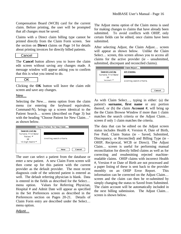Compensation Board (WCB) card for the current claim. Before printing, the user will be prompted that all changes must be saved.

Claims with a Direct claim billing type cannot be printed directly from the Claim Form screen. See the section on **Direct** claims on Page 14 for details about printing invoices for directly billed patients.

#### Cancel

The **Cancel** button allows you to leave the claim edit screen without saving any changes made. A message window will appear asking you to confirm that this is what you intend to do.

#### **OK**

Clicking the **OK** button will leave the claim edit screen and save any changes.

#### New…

Selecting the New… menu option from the claim menu (or entering the keyboard equivalent, Command-N), brings up a screen identical to the Patient Search… screen (described on Page 3) but with the heading "Choose Patient for New Claim…" as shown below.

|                                                                                      | Choose Patient for New Claim $\equiv$ |
|--------------------------------------------------------------------------------------|---------------------------------------|
| Search List by:<br>'Surname, First Name'<br>'Patient *'<br>0R<br>'10 Digit Health *' | Awaiting search criteria.             |
|                                                                                      | Cancel<br>New                         |

The user can select a patient from the database or enter a new patient. A new Claim Form screen will then come up for this patient with the current provider as the default provider. The most recent diagnosis code of the selected patient is entered as well. The default referring physician is blank. Data is entered in the fields as described for the Select… menu option. Values for Referring Physician, Hospital # and Admit Date will appear as specified in the Set Preferences screen as described in the Preferences section on Pages 20-21. Details of Claim Form entry are described under the Select… menu option.

The Adjust menu option of the Claim menu is used for making changes to claims that have already been submitted. To avoid conflicts with OHIP, only certain fields can be edited, once claims have been submitted.

After selecting Adjust, the Claim Adjust… screen will appear as shown below. Unlike the Claim Select… screen, this screen allows you to access all claims for the active provider (ie - unsubmitted, submitted, discrepant and reconciled claims).

| Search List by:             | All Claims:               |        |
|-----------------------------|---------------------------|--------|
| 'Surname, First Name'<br>0R |                           |        |
| 'Account *'                 | Awaiting search criteria. |        |
|                             |                           |        |
|                             |                           | Cancel |

As with Claim Select…, typing in either: (a) the patient's **surname, first name** or any portion thereof, or (b) the claim **Account #**, will bring up the the Claim Browse Window if more than 1 claim matches the search criteria or the Adjust Claim… screen if only 1 claim matches the criteria.

The data that can be edited on the Adjust screen status includes Health #, Version #, Date of Birth, Fee Paid, Claim Status (ie - Saved, Submitted, Discrepancy, or Reconciled) and Billing Type (ie - OHIP, Reciprocal, WCB or Direct). The Adjust Claim… screen is useful for performing manual reconciliation for directly billed claims as well as for correcting and resubmitting rejected machinereadable claims. OHIP claims with incorrect Health #, Version # or Date of Birth are not processed and a paper listing of these is sent back to the provider monthly on an OHIP Error Report. This information can be corrected on the Adjust Claim… screen and the claim can then be re-submitted by simply changing the status to Saved from Submitted. The claim account will be automatically included in the next billing submission. The Adjust Claim… screen is shown below.

Adjust…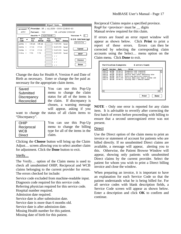|                                                               |                |                                     |                                  |             | Adjust Claim    |               |                      |
|---------------------------------------------------------------|----------------|-------------------------------------|----------------------------------|-------------|-----------------|---------------|----------------------|
| <b>Provider: DR. J. ALLISON - 0000-224840-60</b><br>Account * |                |                                     |                                  |             |                 |               |                      |
| 4292                                                          |                | Patient: 322<br>MR. ANTHONY SPENCER |                                  |             |                 |               |                      |
|                                                               |                |                                     | Health <sup>•</sup> : 7428758481 |             |                 |               | Version *:<br>10.    |
| Bill<br>Code                                                  |                | Unit<br>Fee                         | Fee<br>Billed                    | Fee<br>Paid | Service<br>Date | <b>Status</b> | $D.0.B.$ (dd/mm/yy): |
| A605A                                                         |                | 105.40                              | 105.40                           |             | 17/07/93        | Saved         | 25/03/34             |
| C602A                                                         | $\mathbf{1}$   | 17.10                               | 17.10                            |             | 18/07/93        | Saved         |                      |
| C608A                                                         | $\overline{1}$ | 17.10                               | 17.10                            |             | 19/07/93        | Saved         | Saved                |
| C101A                                                         | $\overline{1}$ | 7.70                                | 7.70                             |             | 19/07/93        | Saved         | OHIP                 |
|                                                               |                |                                     |                                  |             | 77              |               |                      |
|                                                               |                |                                     |                                  |             | $\prime$ /      |               | Choose               |
|                                                               |                |                                     |                                  |             | $\prime\prime$  |               |                      |
|                                                               |                |                                     |                                  |             | 77              |               | Done                 |

Change the data for Health #, Version # and Date of Birth as necessary. Enter or change the fee paid as necessary for the appropriate claim items.

| Saved       |
|-------------|
| Submitted   |
| Discrepancy |
| Reconciled  |

You can use this Pop-Up menu to change the claim status for all of the items in the claim. If discrepancy is chosen, a warning message will appear, asking if you

want to change the status of all claim items to "Discrepancy".

| <b>OHIP</b>   | You can use this Pop-Up          |
|---------------|----------------------------------|
| Reciprocal    | menu to change the billing       |
| <b>WCB</b>    | type for all of the items in the |
| <b>Direct</b> | claim.                           |

Clicking the **Choose** button will bring up the Claim Adjust… screen allowing you to select another claim for adjustment. Click the **Done** button to exit.

#### Verify…

The Verify… option of the Claim menu is used to check all unsubmitted OHIP, Reciprocal and WCB claims belonging to the current provider for errors. The errors checked for include:

Service code excluded from machine-readable input. Diagnosis code required for this service code.

Referring physician required for this service code.

Hospital number required.

Admission date required.

Service date is after submission date.

Service date is more than 6 months old.

Service date is after admission date.

Missing Health number for this patient.

Missing date of birth for this patient.

Reciprocal Claims require a specified province. Reg# for  $\langle$ province $\rangle$  must be  $\angle$  digits Manual review required for this claim.

If errors are found an error report window will appear as shown below. Click **Print** to print a report of these errors. Errors can then be corrected by selecting the corresponding claim accounts using the Select… menu option on the Claim menu. Click **Done** to exit.

| Acct <sup>*</sup> | Service      | Date                  | Error                               |  |
|-------------------|--------------|-----------------------|-------------------------------------|--|
| 000175            |              | A605A 18/04/91        | Diagnosis code required             |  |
| 000175            |              | C602A 19/04/91        | Diagnosis code required             |  |
|                   | 000176 A603A | 25/04/91              | Service date after admission date   |  |
|                   |              | 000177 A605A 04/05/91 | Referring physician required        |  |
|                   |              | 000178 A603A 09/11/90 | Service date more than 6 months old |  |
|                   |              | 000179 A603A 09/04/91 | Missing OHIP & Health number        |  |
|                   |              |                       |                                     |  |
|                   |              |                       |                                     |  |
|                   |              |                       |                                     |  |
|                   |              |                       |                                     |  |
|                   |              |                       |                                     |  |
|                   |              |                       |                                     |  |
|                   |              |                       |                                     |  |

**NOTE** - Only one error is reported for any claim item. It is advisable to reverify after correcting the first batch of errors before proceeding with billing to ensure that a second unrecognized error was not present.

#### **Direct**

Use the Direct option of the claim menu to print an invoice or statement of account for patients who are billed directly. If no unsubmitted Direct claims are available, a message will appear, alerting you to this. Otherwise, the Patient Browse Window will appear, showing only patients with unsubmitted Direct claims by the current provider. Select the patient for whom you wish to print a Direct billing invoice and close the window.

When preparing an invoice, it is important to have an explanation for each Service Code so that the patient understands what he is being billed for. For all service codes with blank description fields, a Service Code screen will appear as shown below. Enter a description and click **OK** to confirm and continue.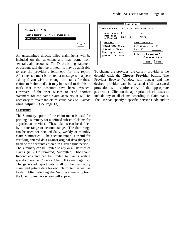

All unsubmitted directly-billed claim items will be included on the statement and may come from several claim accounts. The Direct billing statement of account will then be printed. It may be advisable to use the provider's letterhead for this report. After the statement is printed, a message will appear asking if you wish to change the status for these claims to 'submitted'. It may be useful to do this to mark that these accounts have been invoiced. However, if the user wishes to send another statement for the same claim accounts, it will be necessary to revert the claim status back to 'Saved' using **Adjust…** (see Page 13).

#### Summary

The Summary option of the claim menu is used for printing a summary for a defined subset of claims for a particular provider. These claims can be defined by a date range or account range. The date range can be used for detailed daily, weekly or monthly claim summaries. The account range is useful for verifying entered data against original data (keeping track of the accounts entered in a given time period). The summary can be limited to any or all statuses of claims (ie - Unsubmitted, Submitted, Discrepant, Reconciled) and can be limited to claims with a specific Service Code or Claim ID (see Page 12). The generated report details all of the mandatory claim and patient data for each claim item as well as totals. After selecting the Summary menu option, the Claim Summary screen will appear.



To change the provider (the current provider is the default) click the **Choose Provider** button. The Provider Browse Window will appear and the desired provider can be selected (full password protection will require entry of the appropriate password). Click on the appropriate check boxes to include any or all claims according to claim status. The user can specify a specific Service Code and/or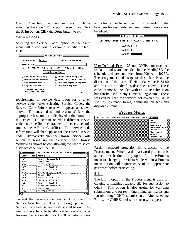Claim ID to limit the claim summary to claims matching that code / ID. To print the summary, click the **Print** button. Click the **Done** button to exit.

#### Service Codes

Selecting the Service Codes option of the claim menu will allow you to examine or edit the fees, OHIP

|                                         | Service Code Info ≣                 |
|-----------------------------------------|-------------------------------------|
| <b>R554</b><br><b>Service Code:</b>     | <b>Choose Service Code</b>          |
| Description:                            |                                     |
| Fee - A: $$270.70$<br>* Fee – B: \$9.57 | <b>Fee</b> – C: \$11.04             |
|                                         | <b>Edit Service Fees</b>            |
| <b>Consecutive Day Billing</b>          | <b>Admission Date Required</b>      |
| _  Manual Review Required               | $\Box$ Must Indicate In/Outpatient  |
| Non-machine Readable                    | $\Box$ Referring Physician Required |
| $\boxtimes$ Diagnosis Required          | ■ Hospital # Required               |
| * 3 Assistant Base Units.               |                                     |
| 4 Anesthetist Base Units                | 0K                                  |

requirements or service description for a given service code. After selecting Service Codes, the Service Code Info screen will appear as shown above. For anesthetists' and assistants' fees, the appropriate base units are displayed at the bottom of the screen. To examine or edit a different service code, enter the first 4 characters of the service code (minus the A,B or C suffix). The service code information will then appear for the entered service code. Alternatively, click the **Choose Service Code** button to bring up the Service Code Browse Window as shown below, allowing the user to select a service code from the list.

|                     | Select Service Code and Close Window $\equiv$ |  |  |  |  |  |  |
|---------------------|-----------------------------------------------|--|--|--|--|--|--|
| <b>Service Code</b> | Description                                   |  |  |  |  |  |  |
| A604                | GENERAL REASSESSMENT                          |  |  |  |  |  |  |
| 4605                | CONSULTATION                                  |  |  |  |  |  |  |
| A606                | RE-CONSULTATION                               |  |  |  |  |  |  |
| A608                | PARTIAL ASSESSMENT                            |  |  |  |  |  |  |
| A613                | GENERAL ASSESSMENT                            |  |  |  |  |  |  |
| A614                | GENERAL RE-ASSESSMENT                         |  |  |  |  |  |  |
| A615                | CONSULTATION                                  |  |  |  |  |  |  |
| A616                | REPEAT CONSULTATION                           |  |  |  |  |  |  |
| A618                | PARTIAL ASSESSMENT                            |  |  |  |  |  |  |
| A623                | GENERAL ASSESSMENT                            |  |  |  |  |  |  |
| A624                | GENERAL REASSESSMENT                          |  |  |  |  |  |  |
| A625                | CONSULTATION                                  |  |  |  |  |  |  |
| A626                | RE-CONSULTATION                               |  |  |  |  |  |  |
|                     |                                               |  |  |  |  |  |  |

To edit the service code fees, click on the Edit Service Fees button. This will bring up the Edit Service Code Fees screen as illustrated below. The user will not be able to alter certain service codes because they are invalid (ie - A603B is initially blank

and a fee cannot be assigned to it). In addition, the base fees for assistants' and anesthetists' fees cannot be edited.



**User-Defined Fees** - 25 non-OHIP, non-machinereadable codes are included in the MedBASE fee schedule and are numbered from I001A to I025A. The assignment and usage of these fees is at the discretion of the user. Their initial value is \$1.00 and this can be edited as described above. These codes cannot be included with an OHIP submission but can be used in any Direct billing claim. These fees can be used for services not covered by OHIP such as insurance forms, administration fees and disposable items.

#### **Process Menu:**

|                         | <b>Channel France State Section 1</b> Physician Claim <mark>Process</mark> |  |  |
|-------------------------|----------------------------------------------------------------------------|--|--|
| Bill                    |                                                                            |  |  |
| Profile                 |                                                                            |  |  |
| Accounting              |                                                                            |  |  |
| <b>Accts Receivable</b> |                                                                            |  |  |
| Reconcile               |                                                                            |  |  |
| Discrepancy             |                                                                            |  |  |
| Archive                 |                                                                            |  |  |
| Preferences             |                                                                            |  |  |
|                         |                                                                            |  |  |

Partial password protection limits access to the Process menu. When partial password protection is active, the selection of any option from the Process menu or changing providers while within a Process menu option will require entry of the appropriate password before proceeding.

#### Bill…

The Bill… option of the Process menu is used for creating a machine-readable file for submission to OHIP. This option is also useful for verifying submissions and for reprinting billing summaries and 'unsubmitting' OHIP submissions. After selecting Bill…, the OHIP Submission screen will appear.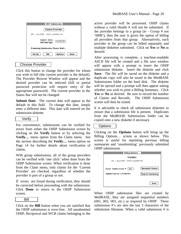| OHIP Submission $\equiv$                        |  |  |  |  |
|-------------------------------------------------|--|--|--|--|
| <b>Choose Provider</b>                          |  |  |  |  |
| DR. J. ALLISON - 0000-224840-60                 |  |  |  |  |
| Submit Date<br>10/08/93<br>(dd/mm/yy):          |  |  |  |  |
| Preparing Submission, Please Wait               |  |  |  |  |
| <b>Options</b><br><b>Verify</b><br>Bill<br>Done |  |  |  |  |

#### Choose Provider

Click this button to change the provider for whom you wish to bill (the current provider is the default). The Provider Browse Window will appear and the desired provider can be selected (full or partial password protection will require entry of the appropriate password). The current provider in the Status Bar will not be changed.

**Submit Date**: The current date will appear as the default in this field. To change this date, simply enter a different date. This date will entered on the submission diskette.

#### Verify

For convenience, submissions can be verified for errors from either the OHIP Submission screen by clicking on the **Verify** button or by selecting the **Verify…** menu option from the Claim menu. See the section describing the **Verify…** menu option on Page 14 for further details about verification of claims.

With group submissions, all of the group providers can be verified with 'one click' when done from the OHIP Submission screen. When verification is done from the Claim menu, only claims for the 'Current Provider' are checked, regardless of whether the provider is part of a group or not.

If errors are found during verification, they should be corrected before proceeding with the submission. Click **Done** to return to the OHIP Submission screen.



Click on the **Bill** button when you are satisfied that the OHIP submission is error-free. All unsubmitted OHIP, Reciprocal and WCB claims belonging to the

active provider will be processed. OHIP claims without a valid Health # will not be submitted. If the provider belongs to a group (ie - Group # not '0000'), then the user is given the option of billing all providers from that group. Alternatively, each provider in the group can be billed separately and multiple diskettes submitted. Click on **Yes** or **No** as desired.

After processing is complete, a machine-readable ASCII file will be created and a file save window will appear with a prompt to insert the OHIP submission diskette. Insert the diskette and click **Save**. The file will be saved on the diskette and a duplicate copy will also be saved in the MedBASE Submissions folder on the hard disk. The diskette will be ejected and a prompt will then appear asking whether you wish to print a Billing Summary. Click **Yes** or **No** as desired. Be sure to record the number of Claims and Records. The OHIP Submission screen will then be exited.

It is advisable to check all submission diskettes to ensure that a submission file is present. Duplicates from the MedBASE Submissions folder can be copied onto a new diskette if necessary.

#### **Options**

Clicking on the **Options** button will bring up the Billing Options… screen as shown below. This screen is useful for reprinting previous billing summaries and 'unsubmitting' previously submitted OHIP submissions

| Billing Options                                         |                                                  |  |  |  |  |  |
|---------------------------------------------------------|--------------------------------------------------|--|--|--|--|--|
| Provider:                                               |                                                  |  |  |  |  |  |
| DR. J. ALLISON - 0000-224840-60                         |                                                  |  |  |  |  |  |
| Enter Submission $\cdot : 22$<br>Submitted on 17/09/91. | <b>Unsubmit Claims</b><br><b>Reprint Summary</b> |  |  |  |  |  |
|                                                         | Done                                             |  |  |  |  |  |

When OHIP submission files are created by MedBASE, they are assigned sequential numbers (001, 002, 003, etc.) as required by OHIP. These submission #'s are also the last 3 characters of the submission filename. When a valid submission # is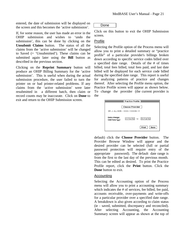entered, the date of submission will be displayed on the screen and this becomes the 'active submission'.

If, for some reason, the user has made an error in the OHIP submission and wishes to 'undo the submission', this can be done by clicking on the **Unsubmit Claims** button. The status of all the claims from the 'active submission' will be changed to Saved (= 'Unsubmitted'). These claims can be submitted again later using the **Bill** button as described in the previous section.

Clicking on the **Reprint Summary** button will produce an OHIP Billing Summary for the 'active submission'. This is useful when during the actual submission procedure, the user failed to turn the printer on or had printer-related problems. If any claims from the 'active submission' were later resubmitted in a different batch, then claim or record counts may be inaccurate. Click on **Done** to exit and return to the OHIP Submission screen.

#### Done

Click on this button to exit the OHIP Submission screen.

#### Profile

Selecting the Profile option of the Process menu will allow you to print a detailed summary or "practice profile" of a particular provider's billings broken down according to specific service codes billed over a specified date range. Details of the # of times billed, total fees billed, total fees paid, and last date billed will be displayed for each service code billed during the specified date range. This report is useful for analyzing patterns of practice and changes thereof. After selecting the Profile menu option, the Practice Profile screen will appear as shown below. To change the provider (the current provider is the

|                           | $\equiv$ Practice Profile $\equiv$ |
|---------------------------|------------------------------------|
|                           | <b>Choose Provider</b>             |
|                           | DR J ALLISON - 0000-100008-13      |
| Date Range:<br>(dd/mm/qu) | 01/04/92 to 30/04/92               |
|                           | Print<br>Done                      |

default) click the **Choose Provider** button. The Provider Browse Window will appear and the desired provider can be selected (full or partial password protection will require entry of the appropriate password). The default date range is from the first to the last day of the previous month. This can be edited as desired. To print the Practice Profile report, click the **Print** button. Click the **Done** button to exit.

#### Accounting

Selecting the Accounting option of the Process menu will allow you to print a accounting summary which indicates the # of services, fee billed, fee paid, accounts receivable, over-payments and write-offs for a particular provider over a specified date range. A breakdown is also given according to claim status (ie - saved, submitted, discrepancy and reconciled). After selecting Accounting, the Accounting Summary screen will appear as shown at the top of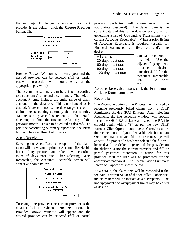the next page. To change the provider (the current provider is the default) click the **Choose Provider** button. The



Provider Browse Window will then appear and the desired provider can be selected (full or partial password protection will require entry of the appropriate password).

The accounting summary can be defined according to an account # range and a date range. The default account # range includes the entire range of claim accounts in the database. This can changed as is desired. More commonly, the date range is used to delimit the accounting summary (ie - for monthly statements or year-end statements). The default date range is from the first to the last day of the previous month. This can be edited as desired. To print the Accounting Summary report click the **Print** button. Click the **Done** button to exit.

#### Accts Receivable

Selecting the Accts Receivable option of the claim menu will allow you to print an Accounts Receivable list as of any specified date broken down according to # of days past due. After selecting Accts Receivable, the Accounts Receivable screen will appear as shown below.



To change the provider (the current provider is the default) click the **Choose Provider** button. The Provider Browse Window will appear and the desired provider can be selected (full or partial

password protection will require entry of the appropriate password). The default date is the current date and this is the date generally used for generating a list of 'Outstanding Transactions' (ie current Accounts Receivable). When a prior listing of Accounts Receivable is required, (usually for Financial Statements at fiscal year-end), the desired

| All claims        |
|-------------------|
| 30 days past due  |
| 60 days past due  |
| 90 days past due  |
| 120 days past due |
|                   |

date can be entered in this field. Use the adjacent Pop-up menu to select the desired date threshold for the Accounts Receivable list. To print the

Accounts Receivable report, click the **Print** button. Click the **Done** button to exit.

#### Reconcile

The Reconcile option of the Process menu is used to reconcile previously billed claims from a OHIP Remittance Advice (RA) Diskette. After selecting Reconcile, the file selection window will appear. Insert the OHIP RA diskette and select the RA file (should begin with a "P" as per the new OHIP format). Click **Open** to continue or **Cancel** to abort the reconciliation. If you select a file which is not an OHIP remittance advice file an error message will appear. If a proper file has been selected the file will be read and the diskette ejected. If the provider on the diskette is not the current provider and full or partial password protection is active for this provider, then the user will be prompted for the appropriate password. The Reconciliation Summary screen will appear as shown below.

As a default, the claim item will be reconciled if the fee paid is within \$1.00 of the fee billed. Otherwise, the claim item will be marked as a discrepancy. The underpayment and overpayment limits may be edited as desired.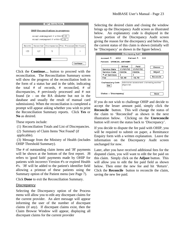

Click the **Continue…** button to proceed with the reconciliation. The Reconciliation Summary screen will show the progress of the reconciliation both in the form of a status bar and in the table, indicating the total # of records, # reconciled, # of discrepancies, # previously processed and # not found (ie - on the RA diskette but not in the database and usually the result of manual card submissions). When the reconciliation is completed a prompt will appear asking whether you wish to print the Reconciliation Summary reports. Click **Yes** or **No** as desired.

These reports include:

- (1) Reconciliation Totals and List of Discrepancies.
- (2) Summary of Claim Items 'Not Found' (if

applicable).

 (3) Message from the Ministry of Health (includes OHIP Threshold Summary).

The # of outstanding claim items and 'J8' payments will be shown at the bottom of the first report. J8 refers to 'good faith' payments made by OHIP for patients with incorrect Version #'s or expired Health #'s. 'J8' will be added to the patient's identifier field allowing a printout of these patients using the Summary option of the Patient menu (see Page 7).

Click **Done** to exit the Reconciliation Summary.

#### **Discrepancy**

Selecting the Discrepancy option of the Process menu will allow you to edit any discrepant claims for the current provider. An alert message will appear informing the user of the number of discrepant claims (if any). If discrepant claims exist, then the Claim Browse Window will appear, displaying all discrepant claims for the current provider

Selecting the desired claim and closing the window brings up the Discrepancy Audit screen as illustrated below. An explanatory code is displayed in the lower portion of the Discrepancy Audit screen giving the reason for the discrepancy and below this, the current status of this claim is shown (initially will be 'Discrepancy' as shown in the figure below).

| Discrepancy Audit $\equiv$<br>Account *:<br>Patient * 322<br>4292<br>Patient: SPENCER, ANTHONY |               |          |           |  |  |
|------------------------------------------------------------------------------------------------|---------------|----------|-----------|--|--|
|                                                                                                | <b>Billed</b> | Paid     | Choose    |  |  |
| Service Date                                                                                   | 17/07/93      | 17/07/93 |           |  |  |
| Adjust<br><b>Service Code</b><br>C603A<br>C602A                                                |               |          |           |  |  |
| * of Services                                                                                  |               |          |           |  |  |
| Fee                                                                                            | 52.40         | 16.70    | Reconcile |  |  |
| Explanatory Code<br>Admission assessment claimed by another<br>physician.<br>HA                |               |          |           |  |  |
| $Status = 'Discrepancu'$<br>Done                                                               |               |          |           |  |  |

If you do not wish to challenge OHIP and decide to accept the lesser amount paid, simply click the **Reconcile** button. This will change the status of the claim to 'Reconciled' as shown in the next illustration below. Clicking on the **Unreconcile** button will revert the status back to 'Discrepancy'.

If you decide to dispute the fee paid with OHIP, you will be required to submit on paper, a Remittance Enquiry form with a written explanation. Leave the information on the Discrepancy Audit screen unchanged for now.

Later, after you have received additional fees for the disputed claim, you will want to edit the fee paid on this claim. Simply click on the **Adjust** button. This will allow you to edit the fee paid field as shown below. Then enter the new fee and hit 'Return'. Click the **Reconcile** button to reconcile the claim, saving the new fee paid.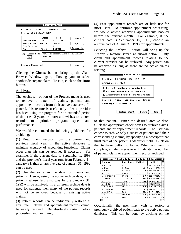| Account <sup>#</sup> : 4292                                                     |               | Discrepancy Audit $\equiv$<br>Patient $\cdot$ : 322 |             |  |  |  |
|---------------------------------------------------------------------------------|---------------|-----------------------------------------------------|-------------|--|--|--|
| Patient: SPENCER, ANTHONY                                                       |               |                                                     |             |  |  |  |
|                                                                                 | <b>Billed</b> | Paid                                                | Choose      |  |  |  |
| <b>Service Date</b>                                                             | 17/07/93      | 17/07/93                                            |             |  |  |  |
| <b>Service Code</b>                                                             | C602A         | Adjust                                              |             |  |  |  |
| * of Services                                                                   |               |                                                     |             |  |  |  |
| Fee                                                                             | 52.40         | 16.70                                               | Unreconcile |  |  |  |
| Explanatory Code<br>Admission assessment claimed by another<br>physician.<br>HA |               |                                                     |             |  |  |  |
| Status = 'Reconciled'                                                           |               |                                                     | Done        |  |  |  |

Clicking the **Choose** button brings up the Claim Browse Window again, allowing you to select another discrepant claim. To exit, click on the **Done** button.

#### Archive…

The Archive… option of the Process menu is used to remove a batch of claims, patients and appointment records from their active databases. In general, this feature is useful only after a provider has been using the program for an extended period of time (ie - 2 years or more) and wishes to remove records to optimize program speed and performance.

We would recommend the following guidelines for archiving:

(1) Keep claim records from the current and previous fiscal year in the active database to maintain accuracy of accounting functions. Claims older than this can be archived if necessary. For example, if the current date is September 1, 1993 and the provider's fiscal year runs from February 1 - January 31, then an archive date of January 31, 1992 can be used.

(2) Use the same archive date for claims and patients. Hence, using the above archive date, only patients whose last visit was before January 31, 1992 will be archived. If a different archive date is used for patients, then many of the patient records will not be removed because of existing active claims.

(3) Patient records can be individually restored at any time. Claims and appointment records cannot be easily restored. Be absolutely certain before proceeding with archiving.

(4) Past appointment records are of little use for most users. To optimize appointment processing, we would advise archiving appointments booked before the current month. For example, if the current date is September 15, 1993, choose an archive date of August 31, 1993 for appointments.

Selecting the Archive… option will bring up the Archive / Restore screen as shown below. Only claim and appointment records relating to the current provider can be archived. Any patient can be archived as long as there are no active claims relating

| Archive / Restore $\equiv$                                                                                                                             |
|--------------------------------------------------------------------------------------------------------------------------------------------------------|
| Provider: DR. J. ALLISON - 0000-224840-60<br>Archive Date: 31/12/91                                                                                    |
| $\boxtimes$ Claims Reconciled as of Archive Date<br>$\boxtimes$ Patients Inactive as of Archive Date<br>$\Box$ Appointments Booked before Archive Date |
| Restrict to Patients with Identifier EXPIRED<br>Archiving Patient database.                                                                            |
| Archive<br><b>Restore Patient</b><br>Done                                                                                                              |

to that patient. Enter the desired archive date. Click the appropriate check boxes to archive claims, patients and/or appointment records. The user can choose to archive only a subset of patients (and their corresponding claims) by specifying a descriptor that must part of the patient's identifier field. Click on the **Archive** button to begin. When archiving is complete, an alert message will indicate the number of patient, claim or appointment records archived.

| Select Patient to be Restored to Active Database |                   |                      |                     |  |  |  |
|--------------------------------------------------|-------------------|----------------------|---------------------|--|--|--|
| Surname                                          | <b>First Name</b> | Patient <sup>≠</sup> | Health <sup>≠</sup> |  |  |  |
| ABOUSSAFY                                        | WILFRED           | 561                  | 4255333470          |  |  |  |
| AHMED                                            | FAISAL            | 567                  | 2734011196          |  |  |  |
| AIKMAN                                           | STEWART           | 90                   | 7534969592          |  |  |  |
| <b>ALEXIS</b>                                    | MARCO             | 502                  | 1330522390          |  |  |  |
| ALEXOPOULOS                                      | <b>STEVE</b>      | 645                  | 5396841552          |  |  |  |
| ALIFERIS                                         | <b>ALKIVIADIS</b> | 368                  | 8731943851          |  |  |  |
| ALL EVNE                                         | JUDIE.            | 298.                 | 2720400999          |  |  |  |
| ALL ISON                                         | I HELL A          | 494                  | 8223846273          |  |  |  |
| ANTONIADIS                                       | SOFIA             | 500                  | 1462264175          |  |  |  |
| ARMANIOUS                                        | EZZAT             | 95                   | 7791878015          |  |  |  |
| ARVANITIS                                        | NORMA             | 372                  | 8447116776          |  |  |  |
| AVGERIS                                          | DESPINA           | 379                  | 7712047096          |  |  |  |
| AYRES                                            | RFG               | 568.                 | 2837690235          |  |  |  |
| ⇦                                                |                   |                      |                     |  |  |  |

Occasionally, the user may wish to restore a previously archived patient back to the active patient database. This can be done by clicking on the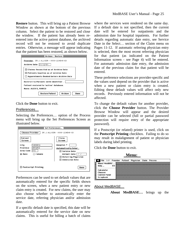**Restore** button. This will bring up a Patient Browse Window as shown at the bottom of the previous column. Select the patient to be restored and close the window. If the patient has already been reentered into the active patient database, the archived record will not be restored to avoid duplicate entries. Otherwise, a message will appear indicating that the patient has been restored, as shown below.



Click the **Done** button to exit.

#### Preferences…

Selecting the Preferences… option of the Process menu will bring up the Set Preferences Screen as illustrated below.



Preferences can be used to set default values that are automatically entered for the specific fields shown on the screen, when a new patient entry or new claim entry is created. For new claims, the user may also choose whether to automatically enter the service date, referring physician and/or admission date.

If a specific default date is specified, this date will be automatically entered for the service date on new claims. This is useful for billing a batch of claims where the services were rendered on the same day. If a default date is not specified, then the current date will be entered for outpatients and the admission date for hospital inpatients. For further details regarding automatic date entry, see Service Date in the Select… section of the Claim menu on Pages 11-12. If automatic referring physician entry is selected, then the most recent referring physician for that patient (as indicated on the Patient Information screen - see Page 4) will be entered. For automatic admission date entry, the admission date of the previous claim for that patient will be entered.

These preference selections are provider-specific and the values used depend on the provider that is active when a new patient or claim entry is created. Editing these default values will affect only new records. Previously entered information will not be affected.

To change the default values for another provider, click the **Choose Provider** button. The Provider Browse Window will appear and the desired provider can be selected (full or partial password protection will require entry of the appropriate password).

If a Postscript (or related) printer is used, click on the **Postscript Printing** checkbox. Failing to do so may result in malalignment of patient or physician labels during label printing.

Click the **Done** button to exit.

 **Menu:**

| File (8) Provider Patient Physician Claim Process |  |  |  |
|---------------------------------------------------|--|--|--|
| <b>About MedBASE </b>                             |  |  |  |
| Help<br>жн                                        |  |  |  |
| Calculator                                        |  |  |  |
| Chooser                                           |  |  |  |
| <b>Control Panel</b>                              |  |  |  |
| Scrapbook                                         |  |  |  |

About MedBASE…

**About MedBASE…** brings up the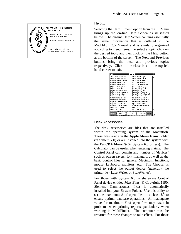

Help…

Selecting the Help... menu option from the Menu brings up the on-line Help Screen as illustrated below. The on-line Help Screen contains essentially the same information that is outlined in the MedBASE 3.5 Manual and is similarly organized according to menu items. To select a topic, click on the desired topic and then click on the **Help** button at the bottom of the screen. The **Next** and **Previous** buttons bring the next and previous topics respectively. Click in the close box in the top left hand corner to exit.

|                             | Help ≣                         |   |
|-----------------------------|--------------------------------|---|
|                             |                                |   |
| <<< Introduction >>>        | Claim Menu: Adjust             |   |
| Starting the Program        | Claim Menu: Verify             |   |
| Provider Menu: Choose       | Claim Menu: Direct             |   |
| Provider Menu: Edit         | Claim Menu: Summary            |   |
| Provider Menu: New          | Claim Menu: Service Codes      |   |
| Patient Menu: Select        | Process Menu:                  |   |
| Patient Menu: New           | Process Menu: Bill             |   |
| Patient Menu: Apprintments  | Process Menu: Profile          |   |
| Patient Menu: Summary       | Process Menu: Accounting       |   |
| Patient Menu: Labels        | Process Menu: Accts Receivable |   |
| Patient Menu: Review Claims | Process Menu: Reconcile        |   |
| Patient Menu: Import        | Process Menu: Discrepancu      |   |
| Patient Menu: Card Reader   | Process Menu: Archive          |   |
| Physician Menu: Select      | Process Menu: Preferences      |   |
| Phusician Menu: New         | Apple Menu: Help               |   |
| Physician Menu: Labels      | Apple Menu: Desk Accessories   |   |
| Claim Menu: Select          | File Menu:                     |   |
| Claim Menu: New             | << Support >>                  |   |
| Help                        | <b>M</b> Previous<br>Next      | ᇚ |

#### Desk Accessories…

The desk accessories are files that are installed within the operating system of the Macintosh. These files reside in the **Apple Menu Items** Folder (in System 7.0) or are installed into the system with the **Font/DA Mover®** (in System 6.0 or less). The Calculator can be useful when entering claims. The Control Panel can contain any number of 'devices' such as screen savers, font managers, as well as the basic control files for general Macintosh functions, mouse, keyboard, monitors, etc. The Chooser is used to select the output device (generally the printer, ie - LaserWriter or StyleWriter).

For those with System 6.0, a shareware Control Panel device entitled **Max Files** (© Copyright 1990, Siemens Gammasonics Inc.) is automatically installed into your System Folder. Use this utility to set the maximum # of open files to at least 80 to ensure optimal database operations. An inadequate value for maximum # of open files may result in problems when printing reports, particularly when working in MultiFinder. The computer must be restarted for these changes to take effect. For those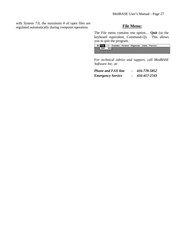with System 7.0, the maximum # of open files are regulated automatically during computer operation. **File Menu:** 

The File menu contains one option… **Quit** (or the keyboard equivalent, Command-Q)**.** This allows you to quit the program.

|  |  | <b>Contract Exist Struturer Patient Physician Claim Process</b> |  |  |
|--|--|-----------------------------------------------------------------|--|--|
|  |  |                                                                 |  |  |
|  |  |                                                                 |  |  |

*For technical advice and support, call MedBASE Software Inc. at:*

| <b>Phone and FAX line</b> | 416-778-5852 |
|---------------------------|--------------|
| <b>Emergency Service</b>  | 416-417-2743 |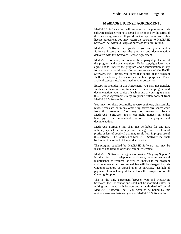#### **MedBASE LICENSE AGREEMENT:**

MedBASE Software Inc. will assume that in purchasing this software package, you have agreed to be bound by the terms of this license agreement. If you do not accept the terms of this license agreement, you may return the package to MedBASE Software Inc. within 30 days of purchase for a full refund.

MedBASE Software Inc. grants to you and you accept a Software License to use the program and documentation delivered with this Software License Agreement.

MedBASE Software, Inc. retains the copyright protection of the program and documentation. Under copyright laws, you agree not to transfer the program and documentation in any form to any party without prior written consent of MedBASE Software, Inc. Further, you agree that copies of the program shall be made only for backup and archival purposes. These archival copies must be retained in your possession.

Except, as provided in this Agreement, you may not transfer, sub-license, lease or rent, time-share or lend the program and documentation, your copies of such or any or your rights under this License Agreement except by prior written consent from MedBASE Software, Inc.

You may not alter, decompile, reverse engineer, disassemble, reverse translate, or in any other way derive any source code from this program. You may not remove or obscure MedBASE Software, Inc.'s copyright notices in either hardcopy or machine-readable portions of the program and documentation.

MedBASE Software Inc. shall not be liable for any tort, indirect, special or consequential damages such as loss of profits or loss of goodwill that may result from improper use of this software. The liabilities of MedBASE Software Inc. shall be limited to a refund of the product's price.

The program supplied by MedBASE Software Inc. may be installed and used on only one computer terminal.

MedBASE Software Inc. agrees to provide "Ongoing Support" in the form of telephone assistance, on-site technical maintenance as required, as well as updates to the program and documentation. An annual fee will be charged for this Ongoing Support, as agreed upon at purchase. Default of payment of annual support fee will result in suspension of all Ongoing Support.

This is the only agreement between you and MedBASE Software, Inc. It cannot and shall not be modified unless in writing and signed both by you and an authorized officer of MedBASE Software, Inc. You agree to be bound by this mutual agreement between you and MedBASE Software, Inc.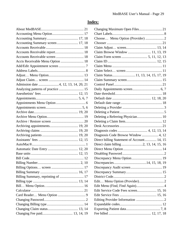# **Index:**

| Accounts Receivable screen  18        |
|---------------------------------------|
| Accts Receivable Menu Option  18      |
|                                       |
|                                       |
|                                       |
|                                       |
| Admission date  4, 12, 13, 14, 20, 21 |
| Analyzing patterns of practice  15    |
|                                       |
|                                       |
|                                       |
|                                       |
|                                       |
|                                       |
|                                       |
| Archiving appointments 19, 20         |
|                                       |
|                                       |
|                                       |
|                                       |
|                                       |
|                                       |
|                                       |
|                                       |
|                                       |
|                                       |
| Billing Summary, reprinting of  17    |
|                                       |
|                                       |
|                                       |
|                                       |
|                                       |
|                                       |
|                                       |
|                                       |

| Changing Maximum Open Files 21             |  |
|--------------------------------------------|--|
|                                            |  |
| Choose Menu Option (Provider) 2            |  |
|                                            |  |
|                                            |  |
| Claim Browse Window  11, 13, 19            |  |
|                                            |  |
|                                            |  |
|                                            |  |
|                                            |  |
| Claim Status11, 13, 14, 15, 17, 19         |  |
|                                            |  |
|                                            |  |
|                                            |  |
|                                            |  |
|                                            |  |
|                                            |  |
|                                            |  |
|                                            |  |
| Deleting a Referring Physician 10          |  |
|                                            |  |
|                                            |  |
|                                            |  |
| Diagnosis Code Browse Window  4, 12        |  |
| Direct billing Statement of Account 14, 15 |  |
| Direct claim billing 2, 13, 14, 15, 16     |  |
|                                            |  |
|                                            |  |
|                                            |  |
|                                            |  |
|                                            |  |
|                                            |  |
|                                            |  |
|                                            |  |
|                                            |  |
| Edit Service Code Fees screen 15, 16       |  |
|                                            |  |
|                                            |  |
|                                            |  |
|                                            |  |
|                                            |  |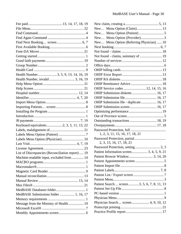| Health Number3, 5, 9, 13, 14, 16, 19             |
|--------------------------------------------------|
|                                                  |
|                                                  |
|                                                  |
|                                                  |
|                                                  |
|                                                  |
|                                                  |
|                                                  |
|                                                  |
|                                                  |
| Keyboard equivalents 2, 3, 5, 11, 13, 22         |
|                                                  |
|                                                  |
|                                                  |
|                                                  |
|                                                  |
| List of Discrepancies (Reconciliation report) 19 |
| Machine-readable input, excluded from  14        |
|                                                  |
|                                                  |
|                                                  |
|                                                  |
|                                                  |
|                                                  |
|                                                  |
| MedBASE Submissions folder  1, 16, 17            |
|                                                  |
| Message from the Ministry of Health 19           |
|                                                  |
|                                                  |

| New Menu Option (Claim) 13                 |  |
|--------------------------------------------|--|
|                                            |  |
| New Menu Option (Provider)3                |  |
| New Menu Option (Referring Physician) 10   |  |
|                                            |  |
|                                            |  |
|                                            |  |
|                                            |  |
|                                            |  |
|                                            |  |
|                                            |  |
|                                            |  |
|                                            |  |
| OHIP Service codes12, 14, 15, 16           |  |
| OHIP Submission diskette 16, 17            |  |
|                                            |  |
| OHIP Submission file - duplicate 16, 17    |  |
| OHIP Submission screen 16, 17              |  |
|                                            |  |
|                                            |  |
|                                            |  |
|                                            |  |
|                                            |  |
| 1, 2, 3, 11, 15, 16, 17, 18, 21            |  |
|                                            |  |
| 2, 3, 15, 16, 17, 18, 21                   |  |
|                                            |  |
| Patient Information screen 3, 4, 5, 9, 21  |  |
|                                            |  |
|                                            |  |
|                                            |  |
|                                            |  |
|                                            |  |
|                                            |  |
| Patient Search screen3, 5, 6, 7, 8, 11, 13 |  |
|                                            |  |
|                                            |  |
|                                            |  |
| Physician Search screen 4, 9, 10, 12       |  |
|                                            |  |
|                                            |  |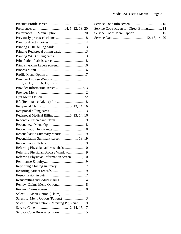| Previously processed claims  18              |
|----------------------------------------------|
|                                              |
|                                              |
|                                              |
| Printing WCB billing cards 13                |
|                                              |
|                                              |
|                                              |
|                                              |
|                                              |
| 1, 2, 11, 15, 16, 17, 18, 21                 |
|                                              |
|                                              |
|                                              |
| RA (Remittance Advice) file  18              |
|                                              |
|                                              |
| Reciprocal Medical Billing 5, 13, 14, 16     |
|                                              |
|                                              |
|                                              |
| Reconciliation Summary reports 19            |
| Reconciliation Summary screen 18, 19         |
|                                              |
| Referring Physician address labels  10       |
|                                              |
| Referring Physician Information screen 9, 10 |
|                                              |
| Reprinting a billing summary  17             |
|                                              |
|                                              |
| Resubmitting individual claims  14           |
|                                              |
|                                              |
| Select Menu Option (Claim) 11                |
|                                              |
| Select Menu Option (Referring Physician) 9   |
| Service Codes12, 14, 15, 17                  |
| Service Code Browse Window 15                |

| Service Code screen for Direct Billing 14 |  |  |
|-------------------------------------------|--|--|
|                                           |  |  |
|                                           |  |  |